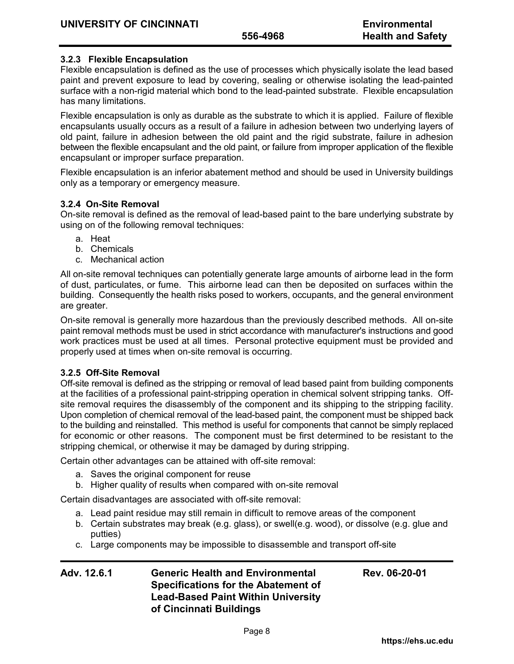# **3.2.3 Flexible Encapsulation**

Flexible encapsulation is defined as the use of processes which physically isolate the lead based paint and prevent exposure to lead by covering, sealing or otherwise isolating the lead-painted surface with a non-rigid material which bond to the lead-painted substrate. Flexible encapsulation has many limitations.

Flexible encapsulation is only as durable as the substrate to which it is applied. Failure of flexible encapsulants usually occurs as a result of a failure in adhesion between two underlying layers of old paint, failure in adhesion between the old paint and the rigid substrate, failure in adhesion between the flexible encapsulant and the old paint, or failure from improper application of the flexible encapsulant or improper surface preparation.

Flexible encapsulation is an inferior abatement method and should be used in University buildings only as a temporary or emergency measure.

# **3.2.4 On-Site Removal**

On-site removal is defined as the removal of lead-based paint to the bare underlying substrate by using on of the following removal techniques:

- a. Heat
- b. Chemicals
- c. Mechanical action

All on-site removal techniques can potentially generate large amounts of airborne lead in the form of dust, particulates, or fume. This airborne lead can then be deposited on surfaces within the building. Consequently the health risks posed to workers, occupants, and the general environment are greater.

On-site removal is generally more hazardous than the previously described methods. All on-site paint removal methods must be used in strict accordance with manufacturer's instructions and good work practices must be used at all times. Personal protective equipment must be provided and properly used at times when on-site removal is occurring.

### **3.2.5 Off-Site Removal**

Off-site removal is defined as the stripping or removal of lead based paint from building components at the facilities of a professional paint-stripping operation in chemical solvent stripping tanks. Offsite removal requires the disassembly of the component and its shipping to the stripping facility. Upon completion of chemical removal of the lead-based paint, the component must be shipped back to the building and reinstalled. This method is useful for components that cannot be simply replaced for economic or other reasons. The component must be first determined to be resistant to the stripping chemical, or otherwise it may be damaged by during stripping.

Certain other advantages can be attained with off-site removal:

- a. Saves the original component for reuse
- b. Higher quality of results when compared with on-site removal

Certain disadvantages are associated with off-site removal:

- a. Lead paint residue may still remain in difficult to remove areas of the component
- b. Certain substrates may break (e.g. glass), or swell(e.g. wood), or dissolve (e.g. glue and putties)
- c. Large components may be impossible to disassemble and transport off-site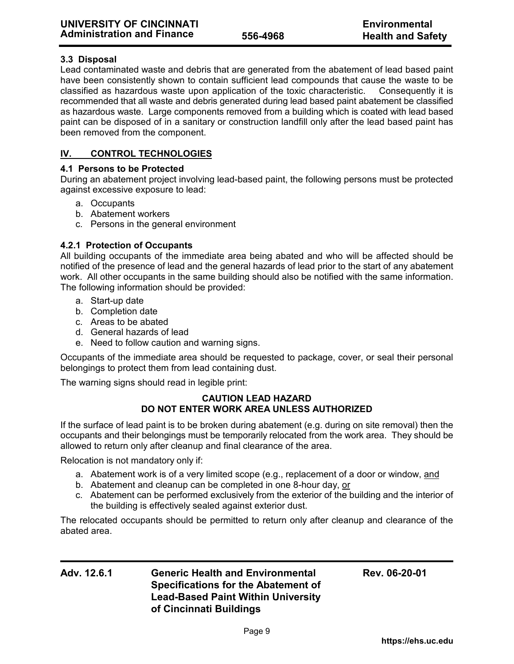# **3.3 Disposal**

Lead contaminated waste and debris that are generated from the abatement of lead based paint have been consistently shown to contain sufficient lead compounds that cause the waste to be classified as hazardous waste upon application of the toxic characteristic. Consequently it is recommended that all waste and debris generated during lead based paint abatement be classified as hazardous waste. Large components removed from a building which is coated with lead based paint can be disposed of in a sanitary or construction landfill only after the lead based paint has been removed from the component.

# **IV. CONTROL TECHNOLOGIES**

# **4.1 Persons to be Protected**

During an abatement project involving lead-based paint, the following persons must be protected against excessive exposure to lead:

- a. Occupants
- b. Abatement workers
- c. Persons in the general environment

# **4.2.1 Protection of Occupants**

All building occupants of the immediate area being abated and who will be affected should be notified of the presence of lead and the general hazards of lead prior to the start of any abatement work. All other occupants in the same building should also be notified with the same information. The following information should be provided:

- a. Start-up date
- b. Completion date
- c. Areas to be abated
- d. General hazards of lead
- e. Need to follow caution and warning signs.

Occupants of the immediate area should be requested to package, cover, or seal their personal belongings to protect them from lead containing dust.

The warning signs should read in legible print:

## **CAUTION LEAD HAZARD DO NOT ENTER WORK AREA UNLESS AUTHORIZED**

If the surface of lead paint is to be broken during abatement (e.g. during on site removal) then the occupants and their belongings must be temporarily relocated from the work area. They should be allowed to return only after cleanup and final clearance of the area.

Relocation is not mandatory only if:

- a. Abatement work is of a very limited scope (e.g., replacement of a door or window, and
- b. Abatement and cleanup can be completed in one 8-hour day, or
- c. Abatement can be performed exclusively from the exterior of the building and the interior of the building is effectively sealed against exterior dust.

The relocated occupants should be permitted to return only after cleanup and clearance of the abated area.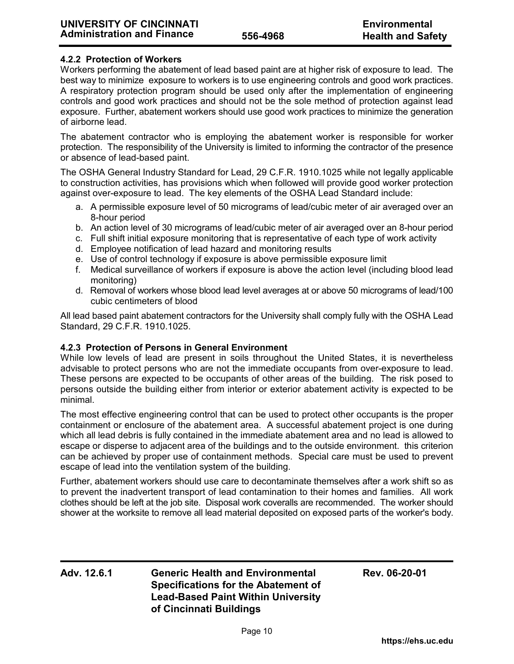## **4.2.2 Protection of Workers**

Workers performing the abatement of lead based paint are at higher risk of exposure to lead. The best way to minimize exposure to workers is to use engineering controls and good work practices. A respiratory protection program should be used only after the implementation of engineering controls and good work practices and should not be the sole method of protection against lead exposure. Further, abatement workers should use good work practices to minimize the generation of airborne lead.

The abatement contractor who is employing the abatement worker is responsible for worker protection. The responsibility of the University is limited to informing the contractor of the presence or absence of lead-based paint.

The OSHA General Industry Standard for Lead, 29 C.F.R. 1910.1025 while not legally applicable to construction activities, has provisions which when followed will provide good worker protection against over-exposure to lead. The key elements of the OSHA Lead Standard include:

- a. A permissible exposure level of 50 micrograms of lead/cubic meter of air averaged over an 8-hour period
- b. An action level of 30 micrograms of lead/cubic meter of air averaged over an 8-hour period
- c. Full shift initial exposure monitoring that is representative of each type of work activity
- d. Employee notification of lead hazard and monitoring results
- e. Use of control technology if exposure is above permissible exposure limit
- f. Medical surveillance of workers if exposure is above the action level (including blood lead monitoring)
- d. Removal of workers whose blood lead level averages at or above 50 micrograms of lead/100 cubic centimeters of blood

All lead based paint abatement contractors for the University shall comply fully with the OSHA Lead Standard, 29 C.F.R. 1910.1025.

### **4.2.3 Protection of Persons in General Environment**

While low levels of lead are present in soils throughout the United States, it is nevertheless advisable to protect persons who are not the immediate occupants from over-exposure to lead. These persons are expected to be occupants of other areas of the building. The risk posed to persons outside the building either from interior or exterior abatement activity is expected to be minimal.

The most effective engineering control that can be used to protect other occupants is the proper containment or enclosure of the abatement area. A successful abatement project is one during which all lead debris is fully contained in the immediate abatement area and no lead is allowed to escape or disperse to adjacent area of the buildings and to the outside environment. this criterion can be achieved by proper use of containment methods. Special care must be used to prevent escape of lead into the ventilation system of the building.

Further, abatement workers should use care to decontaminate themselves after a work shift so as to prevent the inadvertent transport of lead contamination to their homes and families. All work clothes should be left at the job site. Disposal work coveralls are recommended. The worker should shower at the worksite to remove all lead material deposited on exposed parts of the worker's body.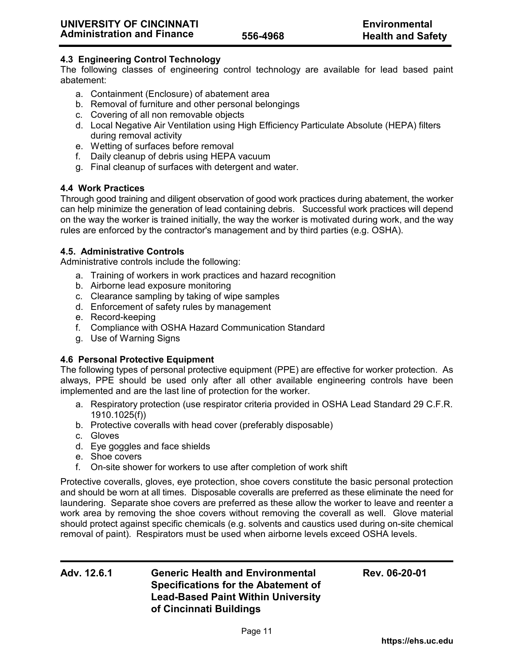# **4.3 Engineering Control Technology**

The following classes of engineering control technology are available for lead based paint abatement:

- a. Containment (Enclosure) of abatement area
- b. Removal of furniture and other personal belongings
- c. Covering of all non removable objects
- d. Local Negative Air Ventilation using High Efficiency Particulate Absolute (HEPA) filters during removal activity
- e. Wetting of surfaces before removal
- f. Daily cleanup of debris using HEPA vacuum
- g. Final cleanup of surfaces with detergent and water.

## **4.4 Work Practices**

Through good training and diligent observation of good work practices during abatement, the worker can help minimize the generation of lead containing debris. Successful work practices will depend on the way the worker is trained initially, the way the worker is motivated during work, and the way rules are enforced by the contractor's management and by third parties (e.g. OSHA).

### **4.5. Administrative Controls**

Administrative controls include the following:

- a. Training of workers in work practices and hazard recognition
- b. Airborne lead exposure monitoring
- c. Clearance sampling by taking of wipe samples
- d. Enforcement of safety rules by management
- e. Record-keeping
- f. Compliance with OSHA Hazard Communication Standard
- g. Use of Warning Signs

### **4.6 Personal Protective Equipment**

The following types of personal protective equipment (PPE) are effective for worker protection. As always, PPE should be used only after all other available engineering controls have been implemented and are the last line of protection for the worker.

- a. Respiratory protection (use respirator criteria provided in OSHA Lead Standard 29 C.F.R. 1910.1025(f))
- b. Protective coveralls with head cover (preferably disposable)
- c. Gloves
- d. Eye goggles and face shields
- e. Shoe covers
- f. On-site shower for workers to use after completion of work shift

Protective coveralls, gloves, eye protection, shoe covers constitute the basic personal protection and should be worn at all times. Disposable coveralls are preferred as these eliminate the need for laundering. Separate shoe covers are preferred as these allow the worker to leave and reenter a work area by removing the shoe covers without removing the coverall as well. Glove material should protect against specific chemicals (e.g. solvents and caustics used during on-site chemical removal of paint). Respirators must be used when airborne levels exceed OSHA levels.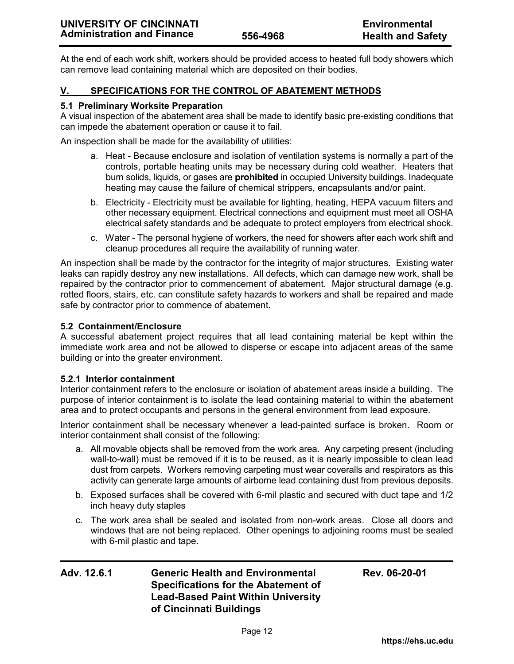At the end of each work shift, workers should be provided access to heated full body showers which can remove lead containing material which are deposited on their bodies.

# **V. SPECIFICATIONS FOR THE CONTROL OF ABATEMENT METHODS**

## **5.1 Preliminary Worksite Preparation**

A visual inspection of the abatement area shall be made to identify basic pre-existing conditions that can impede the abatement operation or cause it to fail.

An inspection shall be made for the availability of utilities:

- a. Heat Because enclosure and isolation of ventilation systems is normally a part of the controls, portable heating units may be necessary during cold weather. Heaters that burn solids, liquids, or gases are **prohibited** in occupied University buildings. Inadequate heating may cause the failure of chemical strippers, encapsulants and/or paint.
- b. Electricity Electricity must be available for lighting, heating, HEPA vacuum filters and other necessary equipment. Electrical connections and equipment must meet all OSHA electrical safety standards and be adequate to protect employers from electrical shock.
- c. Water The personal hygiene of workers, the need for showers after each work shift and cleanup procedures all require the availability of running water.

An inspection shall be made by the contractor for the integrity of major structures. Existing water leaks can rapidly destroy any new installations. All defects, which can damage new work, shall be repaired by the contractor prior to commencement of abatement. Major structural damage (e.g. rotted floors, stairs, etc. can constitute safety hazards to workers and shall be repaired and made safe by contractor prior to commence of abatement.

## **5.2 Containment/Enclosure**

A successful abatement project requires that all lead containing material be kept within the immediate work area and not be allowed to disperse or escape into adjacent areas of the same building or into the greater environment.

### **5.2.1 Interior containment**

Interior containment refers to the enclosure or isolation of abatement areas inside a building. The purpose of interior containment is to isolate the lead containing material to within the abatement area and to protect occupants and persons in the general environment from lead exposure.

Interior containment shall be necessary whenever a lead-painted surface is broken. Room or interior containment shall consist of the following:

- a. All movable objects shall be removed from the work area. Any carpeting present (including wall-to-wall) must be removed if it is to be reused, as it is nearly impossible to clean lead dust from carpets. Workers removing carpeting must wear coveralls and respirators as this activity can generate large amounts of airborne lead containing dust from previous deposits.
- b. Exposed surfaces shall be covered with 6-mil plastic and secured with duct tape and 1/2 inch heavy duty staples
- c. The work area shall be sealed and isolated from non-work areas. Close all doors and windows that are not being replaced. Other openings to adjoining rooms must be sealed with 6-mil plastic and tape.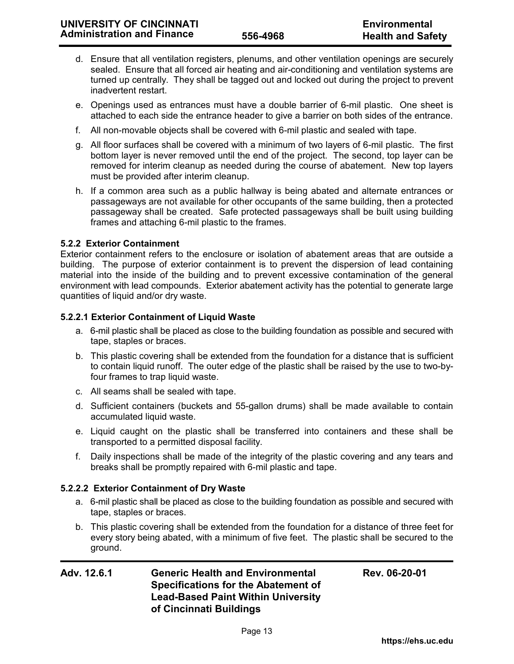- d. Ensure that all ventilation registers, plenums, and other ventilation openings are securely sealed. Ensure that all forced air heating and air-conditioning and ventilation systems are turned up centrally. They shall be tagged out and locked out during the project to prevent inadvertent restart.
- e. Openings used as entrances must have a double barrier of 6-mil plastic. One sheet is attached to each side the entrance header to give a barrier on both sides of the entrance.
- f. All non-movable objects shall be covered with 6-mil plastic and sealed with tape.
- g. All floor surfaces shall be covered with a minimum of two layers of 6-mil plastic. The first bottom layer is never removed until the end of the project. The second, top layer can be removed for interim cleanup as needed during the course of abatement. New top layers must be provided after interim cleanup.
- h. If a common area such as a public hallway is being abated and alternate entrances or passageways are not available for other occupants of the same building, then a protected passageway shall be created. Safe protected passageways shall be built using building frames and attaching 6-mil plastic to the frames.

### **5.2.2 Exterior Containment**

Exterior containment refers to the enclosure or isolation of abatement areas that are outside a building. The purpose of exterior containment is to prevent the dispersion of lead containing material into the inside of the building and to prevent excessive contamination of the general environment with lead compounds. Exterior abatement activity has the potential to generate large quantities of liquid and/or dry waste.

## **5.2.2.1 Exterior Containment of Liquid Waste**

- a. 6-mil plastic shall be placed as close to the building foundation as possible and secured with tape, staples or braces.
- b. This plastic covering shall be extended from the foundation for a distance that is sufficient to contain liquid runoff. The outer edge of the plastic shall be raised by the use to two-byfour frames to trap liquid waste.
- c. All seams shall be sealed with tape.
- d. Sufficient containers (buckets and 55-gallon drums) shall be made available to contain accumulated liquid waste.
- e. Liquid caught on the plastic shall be transferred into containers and these shall be transported to a permitted disposal facility.
- f. Daily inspections shall be made of the integrity of the plastic covering and any tears and breaks shall be promptly repaired with 6-mil plastic and tape.

# **5.2.2.2 Exterior Containment of Dry Waste**

- a. 6-mil plastic shall be placed as close to the building foundation as possible and secured with tape, staples or braces.
- b. This plastic covering shall be extended from the foundation for a distance of three feet for every story being abated, with a minimum of five feet. The plastic shall be secured to the ground.

| Adv. 12.6.1 | <b>Generic Health and Environmental</b>    | Rev. 06-20-01 |
|-------------|--------------------------------------------|---------------|
|             | <b>Specifications for the Abatement of</b> |               |
|             | <b>Lead-Based Paint Within University</b>  |               |
|             | of Cincinnati Buildings                    |               |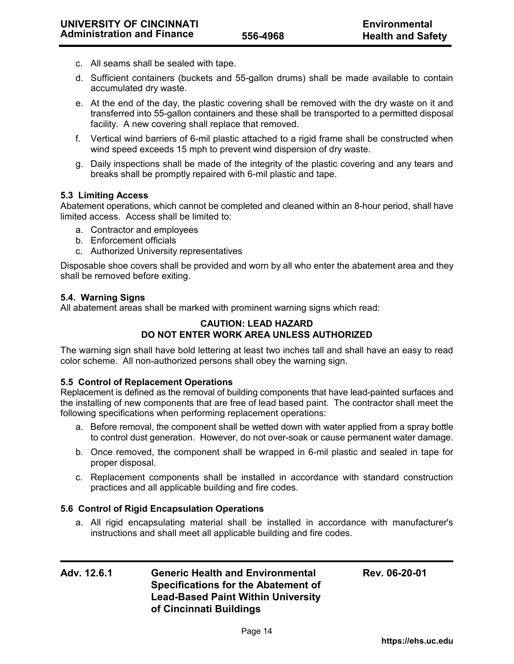- c. All seams shall be sealed with tape.
- d. Sufficient containers (buckets and 55-gallon drums) shall be made available to contain accumulated dry waste.
- e. At the end of the day, the plastic covering shall be removed with the dry waste on it and transferred into 55-gallon containers and these shall be transported to a permitted disposal facility. A new covering shall replace that removed.
- f. Vertical wind barriers of 6-mil plastic attached to a rigid frame shall be constructed when wind speed exceeds 15 mph to prevent wind dispersion of dry waste.
- g. Daily inspections shall be made of the integrity of the plastic covering and any tears and breaks shall be promptly repaired with 6-mil plastic and tape.

## **5.3 Limiting Access**

Abatement operations, which cannot be completed and cleaned within an 8-hour period, shall have limited access. Access shall be limited to:

- a. Contractor and employees
- b. Enforcement officials
- c. Authorized University representatives

Disposable shoe covers shall be provided and worn by all who enter the abatement area and they shall be removed before exiting.

### **5.4. Warning Signs**

All abatement areas shall be marked with prominent warning signs which read:

### **CAUTION: LEAD HAZARD DO NOT ENTER WORK AREA UNLESS AUTHORIZED**

The warning sign shall have bold lettering at least two inches tall and shall have an easy to read color scheme. All non-authorized persons shall obey the warning sign.

### **5.5 Control of Replacement Operations**

Replacement is defined as the removal of building components that have lead-painted surfaces and the installing of new components that are free of lead based paint. The contractor shall meet the following specifications when performing replacement operations:

- a. Before removal, the component shall be wetted down with water applied from a spray bottle to control dust generation. However, do not over-soak or cause permanent water damage.
- b. Once removed, the component shall be wrapped in 6-mil plastic and sealed in tape for proper disposal.
- c. Replacement components shall be installed in accordance with standard construction practices and all applicable building and fire codes.

### **5.6 Control of Rigid Encapsulation Operations**

a. All rigid encapsulating material shall be installed in accordance with manufacturer's instructions and shall meet all applicable building and fire codes.

| Adv. 12.6.1 | <b>Generic Health and Environmental</b>    | Rev. 06-20-01 |
|-------------|--------------------------------------------|---------------|
|             | <b>Specifications for the Abatement of</b> |               |
|             | <b>Lead-Based Paint Within University</b>  |               |
|             | of Cincinnati Buildings                    |               |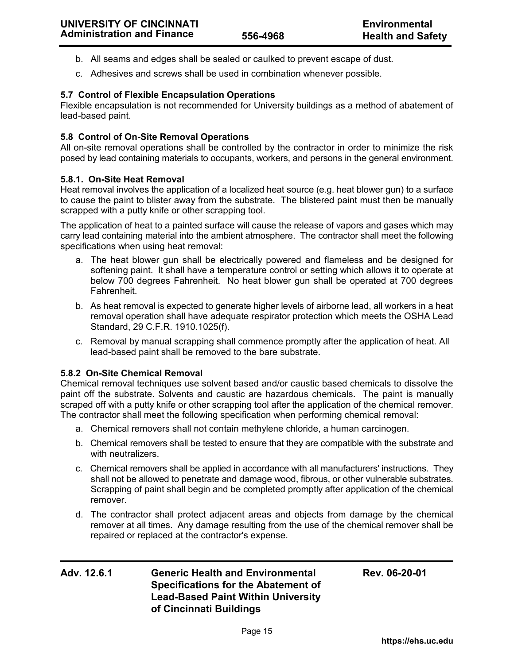- b. All seams and edges shall be sealed or caulked to prevent escape of dust.
- c. Adhesives and screws shall be used in combination whenever possible.

# **5.7 Control of Flexible Encapsulation Operations**

Flexible encapsulation is not recommended for University buildings as a method of abatement of lead-based paint.

## **5.8 Control of On-Site Removal Operations**

All on-site removal operations shall be controlled by the contractor in order to minimize the risk posed by lead containing materials to occupants, workers, and persons in the general environment.

## **5.8.1. On-Site Heat Removal**

Heat removal involves the application of a localized heat source (e.g. heat blower gun) to a surface to cause the paint to blister away from the substrate. The blistered paint must then be manually scrapped with a putty knife or other scrapping tool.

The application of heat to a painted surface will cause the release of vapors and gases which may carry lead containing material into the ambient atmosphere. The contractor shall meet the following specifications when using heat removal:

- a. The heat blower gun shall be electrically powered and flameless and be designed for softening paint. It shall have a temperature control or setting which allows it to operate at below 700 degrees Fahrenheit. No heat blower gun shall be operated at 700 degrees Fahrenheit.
- b. As heat removal is expected to generate higher levels of airborne lead, all workers in a heat removal operation shall have adequate respirator protection which meets the OSHA Lead Standard, 29 C.F.R. 1910.1025(f).
- c. Removal by manual scrapping shall commence promptly after the application of heat. All lead-based paint shall be removed to the bare substrate.

### **5.8.2 On-Site Chemical Removal**

Chemical removal techniques use solvent based and/or caustic based chemicals to dissolve the paint off the substrate. Solvents and caustic are hazardous chemicals. The paint is manually scraped off with a putty knife or other scrapping tool after the application of the chemical remover. The contractor shall meet the following specification when performing chemical removal:

- a. Chemical removers shall not contain methylene chloride, a human carcinogen.
- b. Chemical removers shall be tested to ensure that they are compatible with the substrate and with neutralizers.
- c. Chemical removers shall be applied in accordance with all manufacturers' instructions. They shall not be allowed to penetrate and damage wood, fibrous, or other vulnerable substrates. Scrapping of paint shall begin and be completed promptly after application of the chemical remover.
- d. The contractor shall protect adjacent areas and objects from damage by the chemical remover at all times. Any damage resulting from the use of the chemical remover shall be repaired or replaced at the contractor's expense.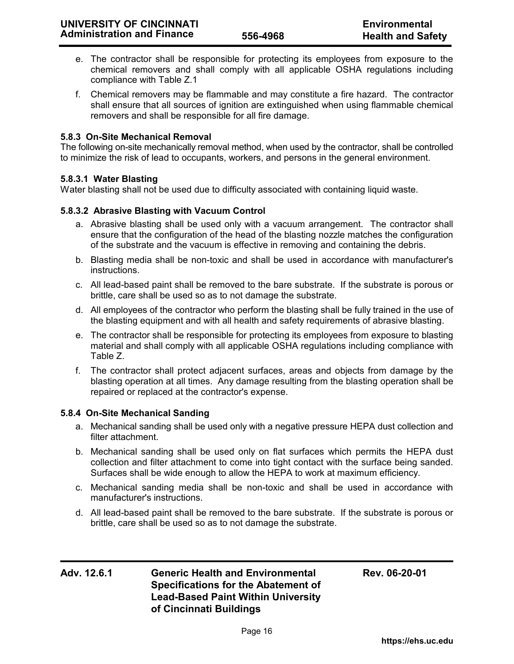- e. The contractor shall be responsible for protecting its employees from exposure to the chemical removers and shall comply with all applicable OSHA regulations including compliance with Table Z.1
- f. Chemical removers may be flammable and may constitute a fire hazard. The contractor shall ensure that all sources of ignition are extinguished when using flammable chemical removers and shall be responsible for all fire damage.

## **5.8.3 On-Site Mechanical Removal**

The following on-site mechanically removal method, when used by the contractor, shall be controlled to minimize the risk of lead to occupants, workers, and persons in the general environment.

### **5.8.3.1 Water Blasting**

Water blasting shall not be used due to difficulty associated with containing liquid waste.

## **5.8.3.2 Abrasive Blasting with Vacuum Control**

- a. Abrasive blasting shall be used only with a vacuum arrangement. The contractor shall ensure that the configuration of the head of the blasting nozzle matches the configuration of the substrate and the vacuum is effective in removing and containing the debris.
- b. Blasting media shall be non-toxic and shall be used in accordance with manufacturer's instructions.
- c. All lead-based paint shall be removed to the bare substrate. If the substrate is porous or brittle, care shall be used so as to not damage the substrate.
- d. All employees of the contractor who perform the blasting shall be fully trained in the use of the blasting equipment and with all health and safety requirements of abrasive blasting.
- e. The contractor shall be responsible for protecting its employees from exposure to blasting material and shall comply with all applicable OSHA regulations including compliance with Table Z.
- f. The contractor shall protect adjacent surfaces, areas and objects from damage by the blasting operation at all times. Any damage resulting from the blasting operation shall be repaired or replaced at the contractor's expense.

### **5.8.4 On-Site Mechanical Sanding**

- a. Mechanical sanding shall be used only with a negative pressure HEPA dust collection and filter attachment.
- b. Mechanical sanding shall be used only on flat surfaces which permits the HEPA dust collection and filter attachment to come into tight contact with the surface being sanded. Surfaces shall be wide enough to allow the HEPA to work at maximum efficiency.
- c. Mechanical sanding media shall be non-toxic and shall be used in accordance with manufacturer's instructions.
- d. All lead-based paint shall be removed to the bare substrate. If the substrate is porous or brittle, care shall be used so as to not damage the substrate.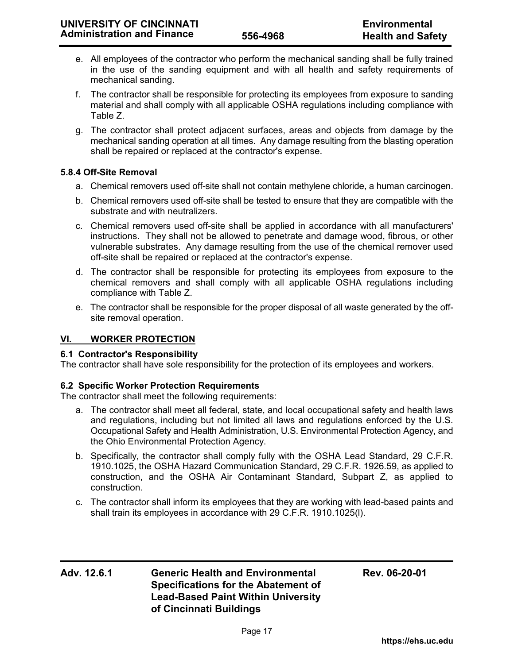- e. All employees of the contractor who perform the mechanical sanding shall be fully trained in the use of the sanding equipment and with all health and safety requirements of mechanical sanding.
- f. The contractor shall be responsible for protecting its employees from exposure to sanding material and shall comply with all applicable OSHA regulations including compliance with Table Z.
- g. The contractor shall protect adjacent surfaces, areas and objects from damage by the mechanical sanding operation at all times. Any damage resulting from the blasting operation shall be repaired or replaced at the contractor's expense.

# **5.8.4 Off-Site Removal**

- a. Chemical removers used off-site shall not contain methylene chloride, a human carcinogen.
- b. Chemical removers used off-site shall be tested to ensure that they are compatible with the substrate and with neutralizers.
- c. Chemical removers used off-site shall be applied in accordance with all manufacturers' instructions. They shall not be allowed to penetrate and damage wood, fibrous, or other vulnerable substrates. Any damage resulting from the use of the chemical remover used off-site shall be repaired or replaced at the contractor's expense.
- d. The contractor shall be responsible for protecting its employees from exposure to the chemical removers and shall comply with all applicable OSHA regulations including compliance with Table Z.
- e. The contractor shall be responsible for the proper disposal of all waste generated by the offsite removal operation.

### **VI. WORKER PROTECTION**

### **6.1 Contractor's Responsibility**

The contractor shall have sole responsibility for the protection of its employees and workers.

### **6.2 Specific Worker Protection Requirements**

The contractor shall meet the following requirements:

- a. The contractor shall meet all federal, state, and local occupational safety and health laws and regulations, including but not limited all laws and regulations enforced by the U.S. Occupational Safety and Health Administration, U.S. Environmental Protection Agency, and the Ohio Environmental Protection Agency.
- b. Specifically, the contractor shall comply fully with the OSHA Lead Standard, 29 C.F.R. 1910.1025, the OSHA Hazard Communication Standard, 29 C.F.R. 1926.59, as applied to construction, and the OSHA Air Contaminant Standard, Subpart Z, as applied to construction.
- c. The contractor shall inform its employees that they are working with lead-based paints and shall train its employees in accordance with 29 C.F.R. 1910.1025(l).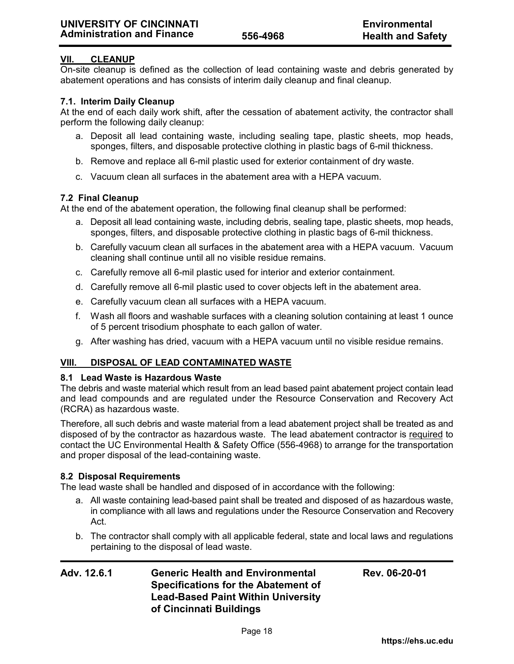# **VII. CLEANUP**

On-site cleanup is defined as the collection of lead containing waste and debris generated by abatement operations and has consists of interim daily cleanup and final cleanup.

## **7.1. Interim Daily Cleanup**

At the end of each daily work shift, after the cessation of abatement activity, the contractor shall perform the following daily cleanup:

- a. Deposit all lead containing waste, including sealing tape, plastic sheets, mop heads, sponges, filters, and disposable protective clothing in plastic bags of 6-mil thickness.
- b. Remove and replace all 6-mil plastic used for exterior containment of dry waste.
- c. Vacuum clean all surfaces in the abatement area with a HEPA vacuum.

## **7.2 Final Cleanup**

At the end of the abatement operation, the following final cleanup shall be performed:

- a. Deposit all lead containing waste, including debris, sealing tape, plastic sheets, mop heads, sponges, filters, and disposable protective clothing in plastic bags of 6-mil thickness.
- b. Carefully vacuum clean all surfaces in the abatement area with a HEPA vacuum. Vacuum cleaning shall continue until all no visible residue remains.
- c. Carefully remove all 6-mil plastic used for interior and exterior containment.
- d. Carefully remove all 6-mil plastic used to cover objects left in the abatement area.
- e. Carefully vacuum clean all surfaces with a HEPA vacuum.
- f. Wash all floors and washable surfaces with a cleaning solution containing at least 1 ounce of 5 percent trisodium phosphate to each gallon of water.
- g. After washing has dried, vacuum with a HEPA vacuum until no visible residue remains.

# **VIII. DISPOSAL OF LEAD CONTAMINATED WASTE**

### **8.1 Lead Waste is Hazardous Waste**

The debris and waste material which result from an lead based paint abatement project contain lead and lead compounds and are regulated under the Resource Conservation and Recovery Act (RCRA) as hazardous waste.

Therefore, all such debris and waste material from a lead abatement project shall be treated as and disposed of by the contractor as hazardous waste. The lead abatement contractor is required to contact the UC Environmental Health & Safety Office (556-4968) to arrange for the transportation and proper disposal of the lead-containing waste.

### **8.2 Disposal Requirements**

The lead waste shall be handled and disposed of in accordance with the following:

- a. All waste containing lead-based paint shall be treated and disposed of as hazardous waste, in compliance with all laws and regulations under the Resource Conservation and Recovery Act.
- b. The contractor shall comply with all applicable federal, state and local laws and regulations pertaining to the disposal of lead waste.

| Adv. 12.6.1 | <b>Generic Health and Environmental</b>    | Rev. 06-20-01 |
|-------------|--------------------------------------------|---------------|
|             | <b>Specifications for the Abatement of</b> |               |
|             | <b>Lead-Based Paint Within University</b>  |               |
|             | of Cincinnati Buildings                    |               |